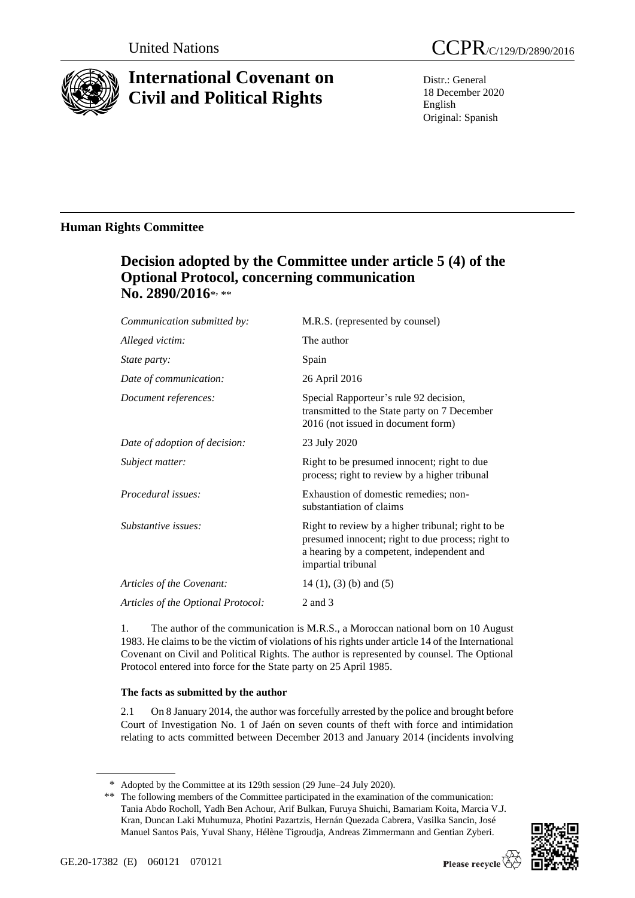

# **International Covenant on Civil and Political Rights**

Distr.: General 18 December 2020 English Original: Spanish

### **Human Rights Committee**

## **Decision adopted by the Committee under article 5 (4) of the Optional Protocol, concerning communication**  No. 2890/2016\*<sub>\*\*\*</sub>

| Communication submitted by:        | M.R.S. (represented by counsel)                                                                                                                                           |
|------------------------------------|---------------------------------------------------------------------------------------------------------------------------------------------------------------------------|
| Alleged victim:                    | The author                                                                                                                                                                |
| <i>State party:</i>                | Spain                                                                                                                                                                     |
| Date of communication:             | 26 April 2016                                                                                                                                                             |
| Document references:               | Special Rapporteur's rule 92 decision,<br>transmitted to the State party on 7 December<br>2016 (not issued in document form)                                              |
| Date of adoption of decision:      | 23 July 2020                                                                                                                                                              |
| Subject matter:                    | Right to be presumed innocent; right to due<br>process; right to review by a higher tribunal                                                                              |
| Procedural issues:                 | Exhaustion of domestic remedies; non-<br>substantiation of claims                                                                                                         |
| Substantive issues:                | Right to review by a higher tribunal; right to be<br>presumed innocent; right to due process; right to<br>a hearing by a competent, independent and<br>impartial tribunal |
| Articles of the Covenant:          | $14(1)$ , (3) (b) and (5)                                                                                                                                                 |
| Articles of the Optional Protocol: | 2 and 3                                                                                                                                                                   |

1. The author of the communication is M.R.S., a Moroccan national born on 10 August 1983. He claims to be the victim of violations of his rights under article 14 of the International Covenant on Civil and Political Rights. The author is represented by counsel. The Optional Protocol entered into force for the State party on 25 April 1985.

### **The facts as submitted by the author**

2.1 On 8 January 2014, the author was forcefully arrested by the police and brought before Court of Investigation No. 1 of Jaén on seven counts of theft with force and intimidation relating to acts committed between December 2013 and January 2014 (incidents involving

<sup>\*\*</sup> The following members of the Committee participated in the examination of the communication: Tania Abdo Rocholl, Yadh Ben Achour, Arif Bulkan, Furuya Shuichi, Bamariam Koita, Marcia V.J. Kran, Duncan Laki Muhumuza, Photini Pazartzis, Hernán Quezada Cabrera, Vasilka Sancin, José Manuel Santos Pais, Yuval Shany, Hélène Tigroudja, Andreas Zimmermann and Gentian Zyberi.



<sup>\*</sup> Adopted by the Committee at its 129th session (29 June–24 July 2020).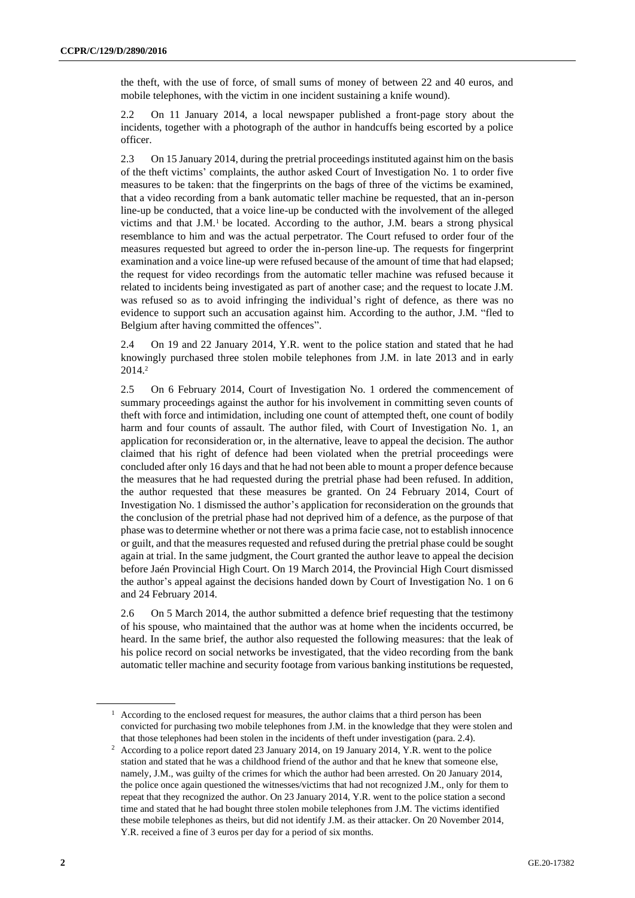the theft, with the use of force, of small sums of money of between 22 and 40 euros, and mobile telephones, with the victim in one incident sustaining a knife wound).

2.2 On 11 January 2014, a local newspaper published a front-page story about the incidents, together with a photograph of the author in handcuffs being escorted by a police officer.

2.3 On 15 January 2014, during the pretrial proceedings instituted against him on the basis of the theft victims' complaints, the author asked Court of Investigation No. 1 to order five measures to be taken: that the fingerprints on the bags of three of the victims be examined, that a video recording from a bank automatic teller machine be requested, that an in-person line-up be conducted, that a voice line-up be conducted with the involvement of the alleged victims and that  $J.M.$ <sup>1</sup> be located. According to the author,  $J.M.$  bears a strong physical resemblance to him and was the actual perpetrator. The Court refused to order four of the measures requested but agreed to order the in-person line-up. The requests for fingerprint examination and a voice line-up were refused because of the amount of time that had elapsed; the request for video recordings from the automatic teller machine was refused because it related to incidents being investigated as part of another case; and the request to locate J.M. was refused so as to avoid infringing the individual's right of defence, as there was no evidence to support such an accusation against him. According to the author, J.M. "fled to Belgium after having committed the offences".

2.4 On 19 and 22 January 2014, Y.R. went to the police station and stated that he had knowingly purchased three stolen mobile telephones from J.M. in late 2013 and in early 2014.<sup>2</sup>

2.5 On 6 February 2014, Court of Investigation No. 1 ordered the commencement of summary proceedings against the author for his involvement in committing seven counts of theft with force and intimidation, including one count of attempted theft, one count of bodily harm and four counts of assault. The author filed, with Court of Investigation No. 1, an application for reconsideration or, in the alternative, leave to appeal the decision. The author claimed that his right of defence had been violated when the pretrial proceedings were concluded after only 16 days and that he had not been able to mount a proper defence because the measures that he had requested during the pretrial phase had been refused. In addition, the author requested that these measures be granted. On 24 February 2014, Court of Investigation No. 1 dismissed the author's application for reconsideration on the grounds that the conclusion of the pretrial phase had not deprived him of a defence, as the purpose of that phase was to determine whether or not there was a prima facie case, not to establish innocence or guilt, and that the measures requested and refused during the pretrial phase could be sought again at trial. In the same judgment, the Court granted the author leave to appeal the decision before Jaén Provincial High Court. On 19 March 2014, the Provincial High Court dismissed the author's appeal against the decisions handed down by Court of Investigation No. 1 on 6 and 24 February 2014.

2.6 On 5 March 2014, the author submitted a defence brief requesting that the testimony of his spouse, who maintained that the author was at home when the incidents occurred, be heard. In the same brief, the author also requested the following measures: that the leak of his police record on social networks be investigated, that the video recording from the bank automatic teller machine and security footage from various banking institutions be requested,

 $<sup>1</sup>$  According to the enclosed request for measures, the author claims that a third person has been</sup> convicted for purchasing two mobile telephones from J.M. in the knowledge that they were stolen and that those telephones had been stolen in the incidents of theft under investigation (para. 2.4).

<sup>2</sup> According to a police report dated 23 January 2014, on 19 January 2014, Y.R. went to the police station and stated that he was a childhood friend of the author and that he knew that someone else, namely, J.M., was guilty of the crimes for which the author had been arrested. On 20 January 2014, the police once again questioned the witnesses/victims that had not recognized J.M., only for them to repeat that they recognized the author. On 23 January 2014, Y.R. went to the police station a second time and stated that he had bought three stolen mobile telephones from J.M. The victims identified these mobile telephones as theirs, but did not identify J.M. as their attacker. On 20 November 2014, Y.R. received a fine of 3 euros per day for a period of six months.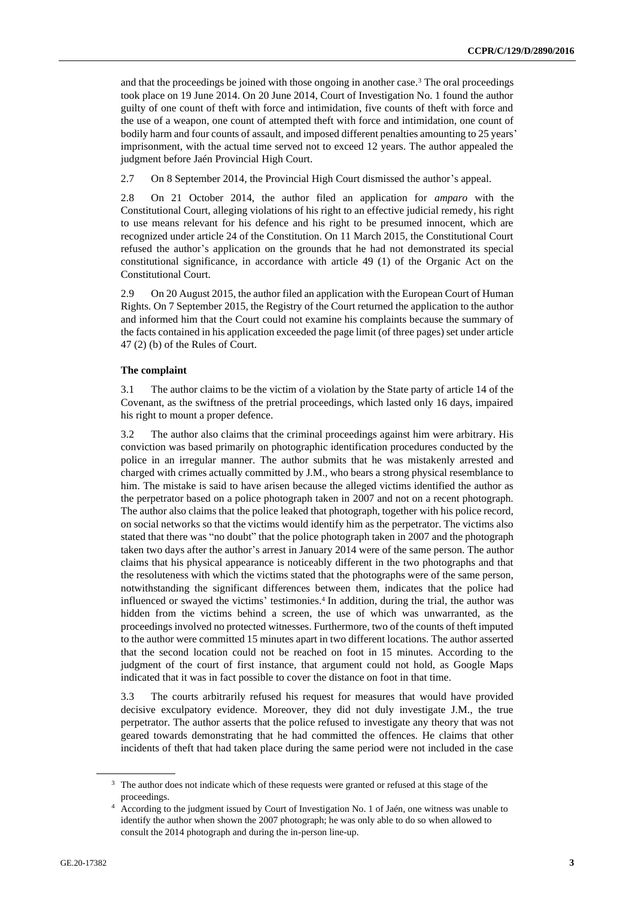and that the proceedings be joined with those ongoing in another case.<sup>3</sup> The oral proceedings took place on 19 June 2014. On 20 June 2014, Court of Investigation No. 1 found the author guilty of one count of theft with force and intimidation, five counts of theft with force and the use of a weapon, one count of attempted theft with force and intimidation, one count of bodily harm and four counts of assault, and imposed different penalties amounting to 25 years' imprisonment, with the actual time served not to exceed 12 years. The author appealed the judgment before Jaén Provincial High Court.

2.7 On 8 September 2014, the Provincial High Court dismissed the author's appeal.

2.8 On 21 October 2014, the author filed an application for *amparo* with the Constitutional Court, alleging violations of his right to an effective judicial remedy, his right to use means relevant for his defence and his right to be presumed innocent, which are recognized under article 24 of the Constitution. On 11 March 2015, the Constitutional Court refused the author's application on the grounds that he had not demonstrated its special constitutional significance, in accordance with article 49 (1) of the Organic Act on the Constitutional Court.

2.9 On 20 August 2015, the author filed an application with the European Court of Human Rights. On 7 September 2015, the Registry of the Court returned the application to the author and informed him that the Court could not examine his complaints because the summary of the facts contained in his application exceeded the page limit (of three pages) set under article 47 (2) (b) of the Rules of Court.

#### **The complaint**

3.1 The author claims to be the victim of a violation by the State party of article 14 of the Covenant, as the swiftness of the pretrial proceedings, which lasted only 16 days, impaired his right to mount a proper defence.

3.2 The author also claims that the criminal proceedings against him were arbitrary. His conviction was based primarily on photographic identification procedures conducted by the police in an irregular manner. The author submits that he was mistakenly arrested and charged with crimes actually committed by J.M., who bears a strong physical resemblance to him. The mistake is said to have arisen because the alleged victims identified the author as the perpetrator based on a police photograph taken in 2007 and not on a recent photograph. The author also claims that the police leaked that photograph, together with his police record, on social networks so that the victims would identify him as the perpetrator. The victims also stated that there was "no doubt" that the police photograph taken in 2007 and the photograph taken two days after the author's arrest in January 2014 were of the same person. The author claims that his physical appearance is noticeably different in the two photographs and that the resoluteness with which the victims stated that the photographs were of the same person, notwithstanding the significant differences between them, indicates that the police had influenced or swayed the victims' testimonies.<sup>4</sup> In addition, during the trial, the author was hidden from the victims behind a screen, the use of which was unwarranted, as the proceedings involved no protected witnesses. Furthermore, two of the counts of theft imputed to the author were committed 15 minutes apart in two different locations. The author asserted that the second location could not be reached on foot in 15 minutes. According to the judgment of the court of first instance, that argument could not hold, as Google Maps indicated that it was in fact possible to cover the distance on foot in that time.

3.3 The courts arbitrarily refused his request for measures that would have provided decisive exculpatory evidence. Moreover, they did not duly investigate J.M., the true perpetrator. The author asserts that the police refused to investigate any theory that was not geared towards demonstrating that he had committed the offences. He claims that other incidents of theft that had taken place during the same period were not included in the case

<sup>&</sup>lt;sup>3</sup> The author does not indicate which of these requests were granted or refused at this stage of the proceedings.

<sup>4</sup> According to the judgment issued by Court of Investigation No. 1 of Jaén, one witness was unable to identify the author when shown the 2007 photograph; he was only able to do so when allowed to consult the 2014 photograph and during the in-person line-up.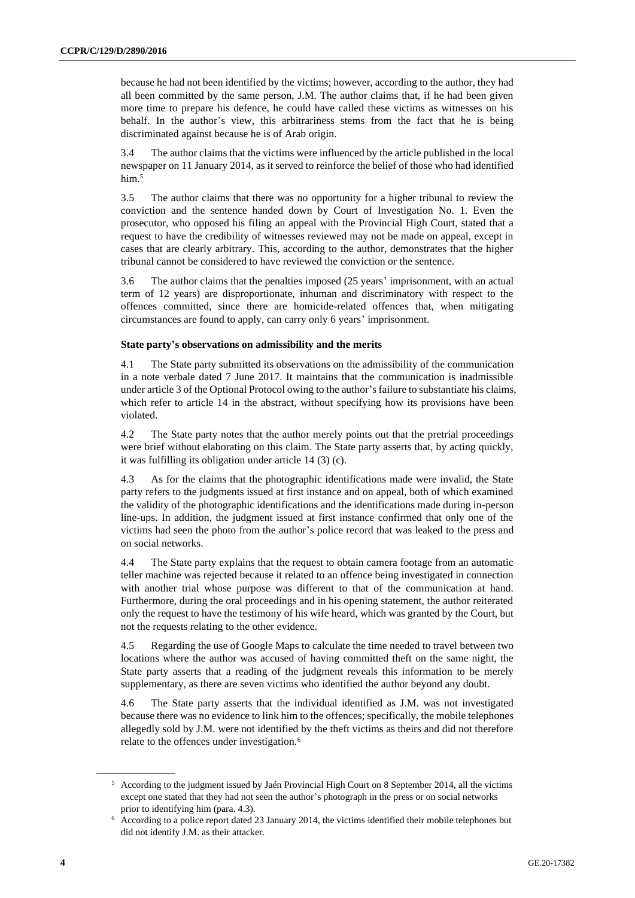because he had not been identified by the victims; however, according to the author, they had all been committed by the same person, J.M. The author claims that, if he had been given more time to prepare his defence, he could have called these victims as witnesses on his behalf. In the author's view, this arbitrariness stems from the fact that he is being discriminated against because he is of Arab origin.

3.4 The author claims that the victims were influenced by the article published in the local newspaper on 11 January 2014, as it served to reinforce the belief of those who had identified him.<sup>5</sup>

3.5 The author claims that there was no opportunity for a higher tribunal to review the conviction and the sentence handed down by Court of Investigation No. 1. Even the prosecutor, who opposed his filing an appeal with the Provincial High Court, stated that a request to have the credibility of witnesses reviewed may not be made on appeal, except in cases that are clearly arbitrary. This, according to the author, demonstrates that the higher tribunal cannot be considered to have reviewed the conviction or the sentence.

3.6 The author claims that the penalties imposed (25 years' imprisonment, with an actual term of 12 years) are disproportionate, inhuman and discriminatory with respect to the offences committed, since there are homicide-related offences that, when mitigating circumstances are found to apply, can carry only 6 years' imprisonment.

#### **State party's observations on admissibility and the merits**

4.1 The State party submitted its observations on the admissibility of the communication in a note verbale dated 7 June 2017. It maintains that the communication is inadmissible under article 3 of the Optional Protocol owing to the author's failure to substantiate his claims, which refer to article 14 in the abstract, without specifying how its provisions have been violated.

4.2 The State party notes that the author merely points out that the pretrial proceedings were brief without elaborating on this claim. The State party asserts that, by acting quickly, it was fulfilling its obligation under article 14 (3) (c).

4.3 As for the claims that the photographic identifications made were invalid, the State party refers to the judgments issued at first instance and on appeal, both of which examined the validity of the photographic identifications and the identifications made during in-person line-ups. In addition, the judgment issued at first instance confirmed that only one of the victims had seen the photo from the author's police record that was leaked to the press and on social networks.

4.4 The State party explains that the request to obtain camera footage from an automatic teller machine was rejected because it related to an offence being investigated in connection with another trial whose purpose was different to that of the communication at hand. Furthermore, during the oral proceedings and in his opening statement, the author reiterated only the request to have the testimony of his wife heard, which was granted by the Court, but not the requests relating to the other evidence.

4.5 Regarding the use of Google Maps to calculate the time needed to travel between two locations where the author was accused of having committed theft on the same night, the State party asserts that a reading of the judgment reveals this information to be merely supplementary, as there are seven victims who identified the author beyond any doubt.

4.6 The State party asserts that the individual identified as J.M. was not investigated because there was no evidence to link him to the offences; specifically, the mobile telephones allegedly sold by J.M. were not identified by the theft victims as theirs and did not therefore relate to the offences under investigation.<sup>6</sup>

<sup>5</sup> According to the judgment issued by Jaén Provincial High Court on 8 September 2014, all the victims except one stated that they had not seen the author's photograph in the press or on social networks prior to identifying him (para. 4.3).

<sup>6</sup> According to a police report dated 23 January 2014, the victims identified their mobile telephones but did not identify J.M. as their attacker.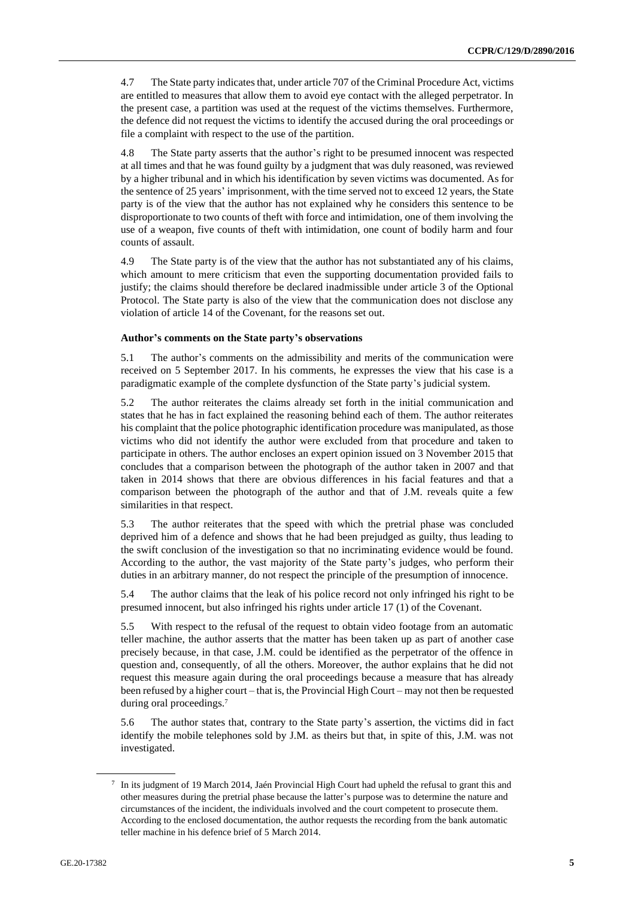4.7 The State party indicates that, under article 707 of the Criminal Procedure Act, victims are entitled to measures that allow them to avoid eye contact with the alleged perpetrator. In the present case, a partition was used at the request of the victims themselves. Furthermore, the defence did not request the victims to identify the accused during the oral proceedings or file a complaint with respect to the use of the partition.

4.8 The State party asserts that the author's right to be presumed innocent was respected at all times and that he was found guilty by a judgment that was duly reasoned, was reviewed by a higher tribunal and in which his identification by seven victims was documented. As for the sentence of 25 years' imprisonment, with the time served not to exceed 12 years, the State party is of the view that the author has not explained why he considers this sentence to be disproportionate to two counts of theft with force and intimidation, one of them involving the use of a weapon, five counts of theft with intimidation, one count of bodily harm and four counts of assault.

4.9 The State party is of the view that the author has not substantiated any of his claims, which amount to mere criticism that even the supporting documentation provided fails to justify; the claims should therefore be declared inadmissible under article 3 of the Optional Protocol. The State party is also of the view that the communication does not disclose any violation of article 14 of the Covenant, for the reasons set out.

#### **Author's comments on the State party's observations**

5.1 The author's comments on the admissibility and merits of the communication were received on 5 September 2017. In his comments, he expresses the view that his case is a paradigmatic example of the complete dysfunction of the State party's judicial system.

5.2 The author reiterates the claims already set forth in the initial communication and states that he has in fact explained the reasoning behind each of them. The author reiterates his complaint that the police photographic identification procedure was manipulated, as those victims who did not identify the author were excluded from that procedure and taken to participate in others. The author encloses an expert opinion issued on 3 November 2015 that concludes that a comparison between the photograph of the author taken in 2007 and that taken in 2014 shows that there are obvious differences in his facial features and that a comparison between the photograph of the author and that of J.M. reveals quite a few similarities in that respect.

5.3 The author reiterates that the speed with which the pretrial phase was concluded deprived him of a defence and shows that he had been prejudged as guilty, thus leading to the swift conclusion of the investigation so that no incriminating evidence would be found. According to the author, the vast majority of the State party's judges, who perform their duties in an arbitrary manner, do not respect the principle of the presumption of innocence.

5.4 The author claims that the leak of his police record not only infringed his right to be presumed innocent, but also infringed his rights under article 17 (1) of the Covenant.

5.5 With respect to the refusal of the request to obtain video footage from an automatic teller machine, the author asserts that the matter has been taken up as part of another case precisely because, in that case, J.M. could be identified as the perpetrator of the offence in question and, consequently, of all the others. Moreover, the author explains that he did not request this measure again during the oral proceedings because a measure that has already been refused by a higher court – that is, the Provincial High Court – may not then be requested during oral proceedings.<sup>7</sup>

5.6 The author states that, contrary to the State party's assertion, the victims did in fact identify the mobile telephones sold by J.M. as theirs but that, in spite of this, J.M. was not investigated.

<sup>7</sup> In its judgment of 19 March 2014, Jaén Provincial High Court had upheld the refusal to grant this and other measures during the pretrial phase because the latter's purpose was to determine the nature and circumstances of the incident, the individuals involved and the court competent to prosecute them. According to the enclosed documentation, the author requests the recording from the bank automatic teller machine in his defence brief of 5 March 2014.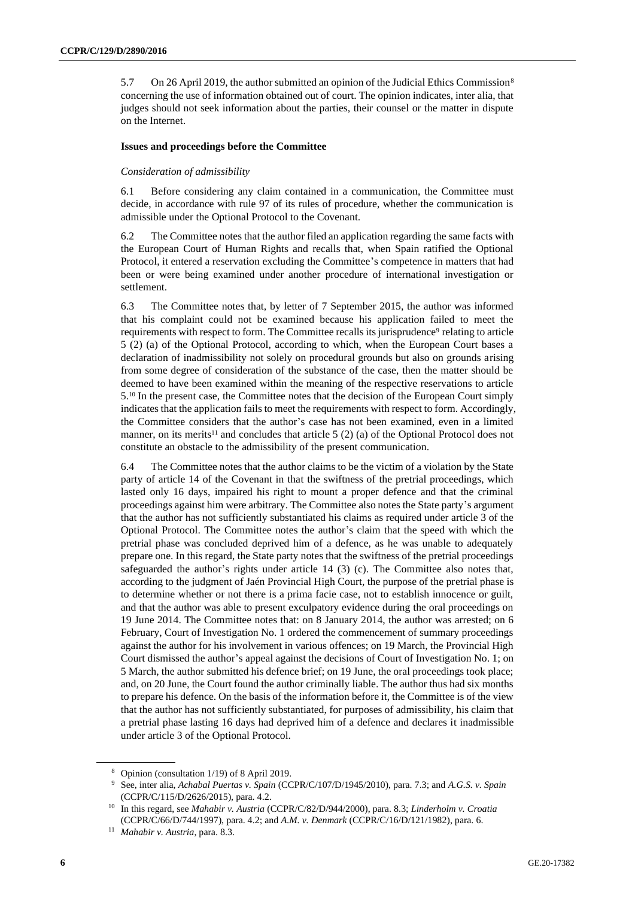5.7 On 26 April 2019, the author submitted an opinion of the Judicial Ethics Commission<sup>8</sup> concerning the use of information obtained out of court. The opinion indicates, inter alia, that judges should not seek information about the parties, their counsel or the matter in dispute on the Internet.

#### **Issues and proceedings before the Committee**

#### *Consideration of admissibility*

6.1 Before considering any claim contained in a communication, the Committee must decide, in accordance with rule 97 of its rules of procedure, whether the communication is admissible under the Optional Protocol to the Covenant.

6.2 The Committee notes that the author filed an application regarding the same facts with the European Court of Human Rights and recalls that, when Spain ratified the Optional Protocol, it entered a reservation excluding the Committee's competence in matters that had been or were being examined under another procedure of international investigation or settlement.

6.3 The Committee notes that, by letter of 7 September 2015, the author was informed that his complaint could not be examined because his application failed to meet the requirements with respect to form. The Committee recalls its jurisprudence<sup>9</sup> relating to article 5 (2) (a) of the Optional Protocol, according to which, when the European Court bases a declaration of inadmissibility not solely on procedural grounds but also on grounds arising from some degree of consideration of the substance of the case, then the matter should be deemed to have been examined within the meaning of the respective reservations to article 5.<sup>10</sup> In the present case, the Committee notes that the decision of the European Court simply indicates that the application fails to meet the requirements with respect to form. Accordingly, the Committee considers that the author's case has not been examined, even in a limited manner, on its merits<sup>11</sup> and concludes that article 5 (2) (a) of the Optional Protocol does not constitute an obstacle to the admissibility of the present communication.

6.4 The Committee notes that the author claims to be the victim of a violation by the State party of article 14 of the Covenant in that the swiftness of the pretrial proceedings, which lasted only 16 days, impaired his right to mount a proper defence and that the criminal proceedings against him were arbitrary. The Committee also notes the State party's argument that the author has not sufficiently substantiated his claims as required under article 3 of the Optional Protocol. The Committee notes the author's claim that the speed with which the pretrial phase was concluded deprived him of a defence, as he was unable to adequately prepare one. In this regard, the State party notes that the swiftness of the pretrial proceedings safeguarded the author's rights under article 14 (3) (c). The Committee also notes that, according to the judgment of Jaén Provincial High Court, the purpose of the pretrial phase is to determine whether or not there is a prima facie case, not to establish innocence or guilt, and that the author was able to present exculpatory evidence during the oral proceedings on 19 June 2014. The Committee notes that: on 8 January 2014, the author was arrested; on 6 February, Court of Investigation No. 1 ordered the commencement of summary proceedings against the author for his involvement in various offences; on 19 March, the Provincial High Court dismissed the author's appeal against the decisions of Court of Investigation No. 1; on 5 March, the author submitted his defence brief; on 19 June, the oral proceedings took place; and, on 20 June, the Court found the author criminally liable. The author thus had six months to prepare his defence. On the basis of the information before it, the Committee is of the view that the author has not sufficiently substantiated, for purposes of admissibility, his claim that a pretrial phase lasting 16 days had deprived him of a defence and declares it inadmissible under article 3 of the Optional Protocol.

<sup>8</sup> Opinion (consultation 1/19) of 8 April 2019.

<sup>9</sup> See, inter alia, *Achabal Puertas v. Spain* (CCPR/C/107/D/1945/2010), para. 7.3; and *A.G.S. v. Spain* (CCPR/C/115/D/2626/2015), para. 4.2.

<sup>10</sup> In this regard, see *Mahabir v. Austria* (CCPR/C/82/D/944/2000), para. 8.3; *Linderholm v. Croatia* (CCPR/C/66/D/744/1997), para. 4.2; and *A.M. v. Denmark* (CCPR/C/16/D/121/1982), para. 6.

<sup>11</sup> *Mahabir v. Austria*, para. 8.3.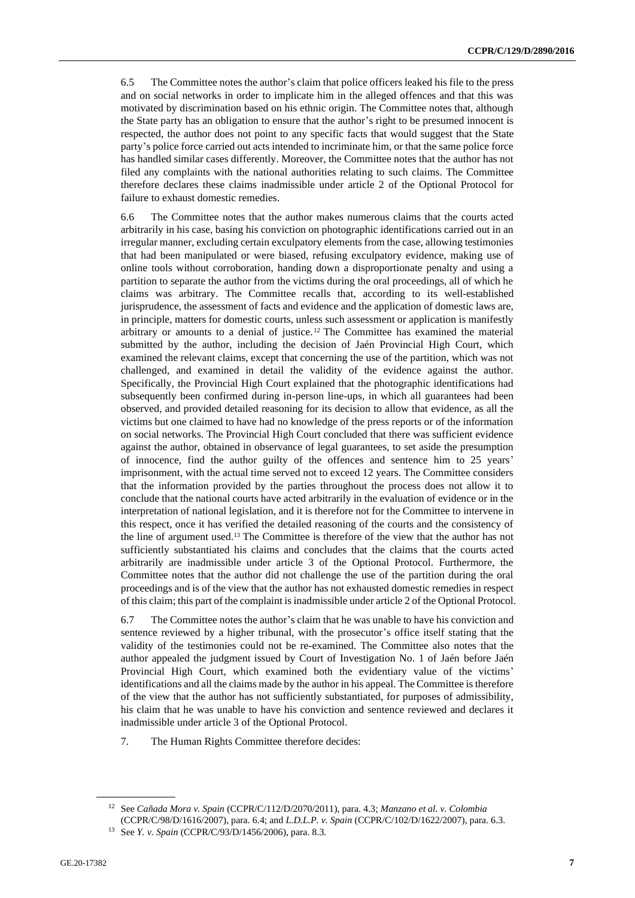6.5 The Committee notes the author's claim that police officers leaked his file to the press and on social networks in order to implicate him in the alleged offences and that this was motivated by discrimination based on his ethnic origin. The Committee notes that, although the State party has an obligation to ensure that the author's right to be presumed innocent is respected, the author does not point to any specific facts that would suggest that the State party's police force carried out acts intended to incriminate him, or that the same police force has handled similar cases differently. Moreover, the Committee notes that the author has not filed any complaints with the national authorities relating to such claims. The Committee therefore declares these claims inadmissible under article 2 of the Optional Protocol for failure to exhaust domestic remedies.

6.6 The Committee notes that the author makes numerous claims that the courts acted arbitrarily in his case, basing his conviction on photographic identifications carried out in an irregular manner, excluding certain exculpatory elements from the case, allowing testimonies that had been manipulated or were biased, refusing exculpatory evidence, making use of online tools without corroboration, handing down a disproportionate penalty and using a partition to separate the author from the victims during the oral proceedings, all of which he claims was arbitrary. The Committee recalls that, according to its well-established jurisprudence, the assessment of facts and evidence and the application of domestic laws are, in principle, matters for domestic courts, unless such assessment or application is manifestly arbitrary or amounts to a denial of justice. <sup>12</sup> The Committee has examined the material submitted by the author, including the decision of Jaén Provincial High Court, which examined the relevant claims, except that concerning the use of the partition, which was not challenged, and examined in detail the validity of the evidence against the author. Specifically, the Provincial High Court explained that the photographic identifications had subsequently been confirmed during in-person line-ups, in which all guarantees had been observed, and provided detailed reasoning for its decision to allow that evidence, as all the victims but one claimed to have had no knowledge of the press reports or of the information on social networks. The Provincial High Court concluded that there was sufficient evidence against the author, obtained in observance of legal guarantees, to set aside the presumption of innocence, find the author guilty of the offences and sentence him to 25 years' imprisonment, with the actual time served not to exceed 12 years. The Committee considers that the information provided by the parties throughout the process does not allow it to conclude that the national courts have acted arbitrarily in the evaluation of evidence or in the interpretation of national legislation, and it is therefore not for the Committee to intervene in this respect, once it has verified the detailed reasoning of the courts and the consistency of the line of argument used.<sup>13</sup> The Committee is therefore of the view that the author has not sufficiently substantiated his claims and concludes that the claims that the courts acted arbitrarily are inadmissible under article 3 of the Optional Protocol. Furthermore, the Committee notes that the author did not challenge the use of the partition during the oral proceedings and is of the view that the author has not exhausted domestic remedies in respect of this claim; this part of the complaint is inadmissible under article 2 of the Optional Protocol.

6.7 The Committee notes the author's claim that he was unable to have his conviction and sentence reviewed by a higher tribunal, with the prosecutor's office itself stating that the validity of the testimonies could not be re-examined. The Committee also notes that the author appealed the judgment issued by Court of Investigation No. 1 of Jaén before Jaén Provincial High Court, which examined both the evidentiary value of the victims' identifications and all the claims made by the author in his appeal. The Committee is therefore of the view that the author has not sufficiently substantiated, for purposes of admissibility, his claim that he was unable to have his conviction and sentence reviewed and declares it inadmissible under article 3 of the Optional Protocol.

7. The Human Rights Committee therefore decides:

<sup>12</sup> See *Cañada Mora v. Spain* (CCPR/C/112/D/2070/2011), para. 4.3; *Manzano et al. v. Colombia* (CCPR/C/98/D/1616/2007), para. 6.4; and *L.D.L.P. v. Spain* (CCPR/C/102/D/1622/2007), para. 6.3.

<sup>13</sup> See *Y. v. Spain* (CCPR/C/93/D/1456/2006), para. 8.3.